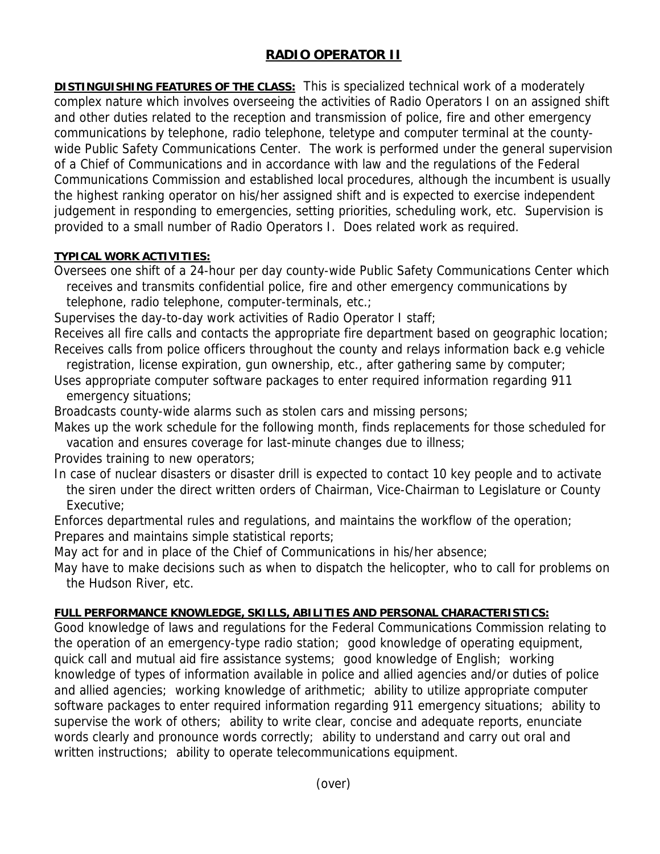## **RADIO OPERATOR II**

**DISTINGUISHING FEATURES OF THE CLASS:** This is specialized technical work of a moderately complex nature which involves overseeing the activities of Radio Operators I on an assigned shift and other duties related to the reception and transmission of police, fire and other emergency communications by telephone, radio telephone, teletype and computer terminal at the countywide Public Safety Communications Center. The work is performed under the general supervision of a Chief of Communications and in accordance with law and the regulations of the Federal Communications Commission and established local procedures, although the incumbent is usually the highest ranking operator on his/her assigned shift and is expected to exercise independent judgement in responding to emergencies, setting priorities, scheduling work, etc. Supervision is provided to a small number of Radio Operators I. Does related work as required.

## **TYPICAL WORK ACTIVITIES:**

Oversees one shift of a 24-hour per day county-wide Public Safety Communications Center which receives and transmits confidential police, fire and other emergency communications by telephone, radio telephone, computer-terminals, etc.;

Supervises the day-to-day work activities of Radio Operator I staff;

Receives all fire calls and contacts the appropriate fire department based on geographic location; Receives calls from police officers throughout the county and relays information back e.g vehicle

 registration, license expiration, gun ownership, etc., after gathering same by computer; Uses appropriate computer software packages to enter required information regarding 911 emergency situations;

Broadcasts county-wide alarms such as stolen cars and missing persons;

Makes up the work schedule for the following month, finds replacements for those scheduled for vacation and ensures coverage for last-minute changes due to illness;

Provides training to new operators;

In case of nuclear disasters or disaster drill is expected to contact 10 key people and to activate the siren under the direct written orders of Chairman, Vice-Chairman to Legislature or County Executive;

Enforces departmental rules and regulations, and maintains the workflow of the operation; Prepares and maintains simple statistical reports;

May act for and in place of the Chief of Communications in his/her absence;

May have to make decisions such as when to dispatch the helicopter, who to call for problems on the Hudson River, etc.

## **FULL PERFORMANCE KNOWLEDGE, SKILLS, ABILITIES AND PERSONAL CHARACTERISTICS:**

Good knowledge of laws and regulations for the Federal Communications Commission relating to the operation of an emergency-type radio station; good knowledge of operating equipment, quick call and mutual aid fire assistance systems; good knowledge of English; working knowledge of types of information available in police and allied agencies and/or duties of police and allied agencies; working knowledge of arithmetic; ability to utilize appropriate computer software packages to enter required information regarding 911 emergency situations; ability to supervise the work of others; ability to write clear, concise and adequate reports, enunciate words clearly and pronounce words correctly; ability to understand and carry out oral and written instructions; ability to operate telecommunications equipment.